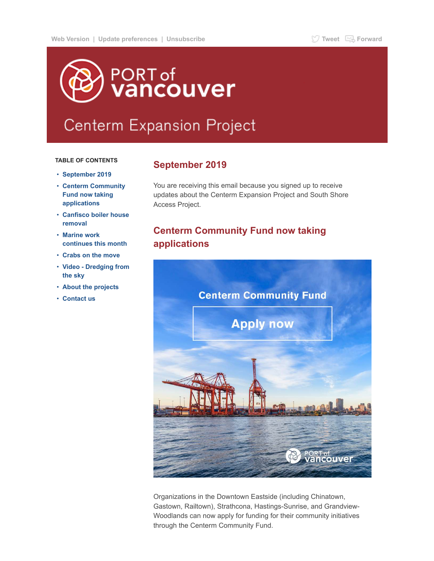# PORT of<br>**Vancouver**

# **Centerm Expansion Project**

#### **TABLE OF CONTENTS**

- **[September 2019](#page-0-0)**
- **[Centerm Community](#page-0-1) Fund now taking applications**
- **[Canfisco boiler house](#page-1-0) removal**
- **Marine work [continues this month](#page-1-1)**
- **[Crabs on the move](#page-2-0)**
- **[Video Dredging from](#page-2-1) the sky**
- **[About the projects](#page-3-0)**
- **[Contact us](#page-3-1)**

### <span id="page-0-0"></span>**September 2019**

You are receiving this email because you signed up to receive updates about the Centerm Expansion Project and South Shore Access Project.

# <span id="page-0-1"></span>**Centerm Community Fund now taking applications**



Organizations in the Downtown Eastside (including Chinatown, Gastown, Railtown), Strathcona, Hastings-Sunrise, and Grandview-Woodlands can now apply for funding for their community initiatives through the Centerm Community Fund.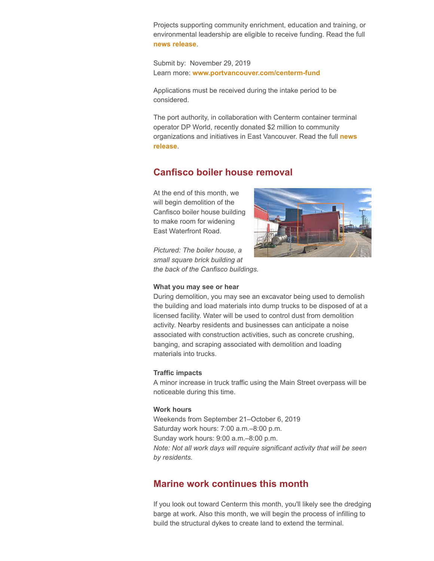Projects supporting community enrichment, education and training, or environmental leadership are eligible to receive funding. Read the full **[news release](https://portvancouver.createsend1.com/t/j-l-mkrhuyd-l-b/)**.

Submit by: November 29, 2019 Learn more: **[www.portvancouver.com/centerm-fund](https://portvancouver.createsend1.com/t/j-l-mkrhuyd-l-n/)**

Applications must be received during the intake period to be considered.

The port authority, in collaboration with Centerm container terminal operator DP World, recently donated \$2 million to community [organizations and initiatives in East Vancouver. Read the full](https://portvancouver.createsend1.com/t/j-l-mkrhuyd-l-p/) **news release**.

# <span id="page-1-0"></span>**Canfisco boiler house removal**

At the end of this month, we will begin demolition of the Canfisco boiler house building to make room for widening East Waterfront Road.

*Pictured: The boiler house, a small square brick building at the back of the Canfisco buildings.*



#### **What you may see or hear**

During demolition, you may see an excavator being used to demolish the building and load materials into dump trucks to be disposed of at a licensed facility. Water will be used to control dust from demolition activity. Nearby residents and businesses can anticipate a noise associated with construction activities, such as concrete crushing, banging, and scraping associated with demolition and loading materials into trucks.

#### **Traffic impacts**

A minor increase in truck traffic using the Main Street overpass will be noticeable during this time.

#### **Work hours**

Weekends from September 21–October 6, 2019 Saturday work hours: 7:00 a.m.–8:00 p.m. Sunday work hours: 9:00 a.m.–8:00 p.m. *Note: Not all work days will require significant activity that will be seen by residents.*

# <span id="page-1-1"></span>**Marine work continues this month**

If you look out toward Centerm this month, you'll likely see the dredging barge at work. Also this month, we will begin the process of infilling to build the structural dykes to create land to extend the terminal.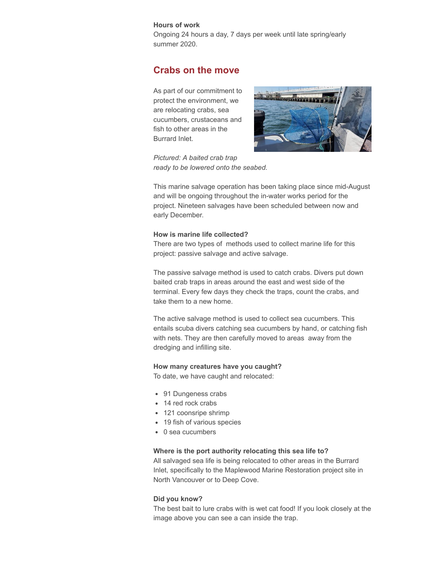#### **Hours of work**

Ongoing 24 hours a day, 7 days per week until late spring/early summer 2020.

# <span id="page-2-0"></span>**Crabs on the move**

As part of our commitment to protect the environment, we are relocating crabs, sea cucumbers, crustaceans and fish to other areas in the Burrard Inlet.



*Pictured: A baited crab trap ready to be lowered onto the seabed.*

This marine salvage operation has been taking place since mid-August and will be ongoing throughout the in-water works period for the project. Nineteen salvages have been scheduled between now and early December.

#### **How is marine life collected?**

There are two types of methods used to collect marine life for this project: passive salvage and active salvage.

The passive salvage method is used to catch crabs. Divers put down baited crab traps in areas around the east and west side of the terminal. Every few days they check the traps, count the crabs, and take them to a new home.

The active salvage method is used to collect sea cucumbers. This entails scuba divers catching sea cucumbers by hand, or catching fish with nets. They are then carefully moved to areas away from the dredging and infilling site.

#### **How many creatures have you caught?**

To date, we have caught and relocated:

- 91 Dungeness crabs
- 14 red rock crabs
- 121 coonsripe shrimp
- 19 fish of various species
- 0 sea cucumbers

#### **Where is the port authority relocating this sea life to?**

All salvaged sea life is being relocated to other areas in the Burrard Inlet, specifically to the Maplewood Marine Restoration project site in North Vancouver or to Deep Cove.

#### **Did you know?**

<span id="page-2-1"></span>The best bait to lure crabs with is wet cat food! If you look closely at the image above you can see a can inside the trap.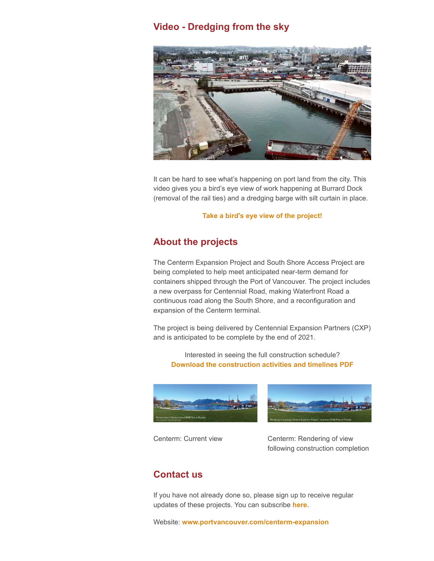# **Video - Dredging from the sky**



It can be hard to see what's happening on port land from the city. This video gives you a bird's eye view of work happening at Burrard Dock (removal of the rail ties) and a dredging barge with silt curtain in place.

#### **[Take a bird's eye view of the project!](https://portvancouver.createsend1.com/t/j-l-mkrhuyd-l-m/)**

# <span id="page-3-0"></span>**About the projects**

The Centerm Expansion Project and South Shore Access Project are being completed to help meet anticipated near-term demand for containers shipped through the Port of Vancouver. The project includes a new overpass for Centennial Road, making Waterfront Road a continuous road along the South Shore, and a reconfiguration and expansion of the Centerm terminal.

The project is being delivered by Centennial Expansion Partners (CXP) and is anticipated to be complete by the end of 2021.

Interested in seeing the full construction schedule? **[Download the construction activities and timelines PDF](https://portvancouver.createsend1.com/t/j-l-mkrhuyd-l-c/)**





Centerm: Current view Centerm: Rendering of view following construction completion

# <span id="page-3-1"></span>**Contact us**

If you have not already done so, please sign up to receive regular updates of these projects. You can subscribe **[here.](https://portvancouver.createsend1.com/t/j-l-mkrhuyd-l-q/)**

Website: **[www.portvancouver.com/centerm-expansion](https://portvancouver.createsend1.com/t/j-l-mkrhuyd-l-a/)**